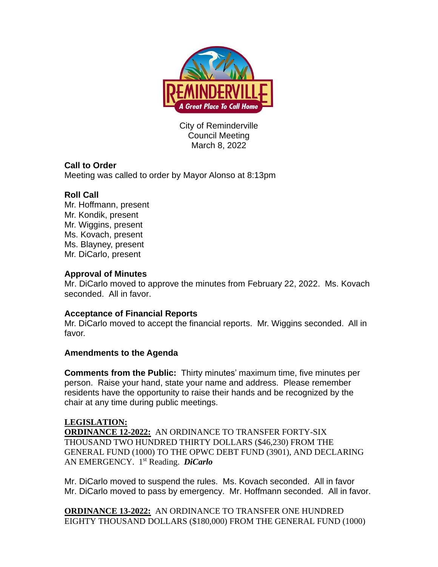

City of Reminderville Council Meeting March 8, 2022

# **Call to Order**

Meeting was called to order by Mayor Alonso at 8:13pm

## **Roll Call**

Mr. Hoffmann, present Mr. Kondik, present Mr. Wiggins, present Ms. Kovach, present Ms. Blayney, present Mr. DiCarlo, present

### **Approval of Minutes**

Mr. DiCarlo moved to approve the minutes from February 22, 2022. Ms. Kovach seconded. All in favor.

### **Acceptance of Financial Reports**

Mr. DiCarlo moved to accept the financial reports. Mr. Wiggins seconded. All in favor.

### **Amendments to the Agenda**

**Comments from the Public:** Thirty minutes' maximum time, five minutes per person. Raise your hand, state your name and address. Please remember residents have the opportunity to raise their hands and be recognized by the chair at any time during public meetings.

### **LEGISLATION:**

**ORDINANCE 12-2022:** AN ORDINANCE TO TRANSFER FORTY-SIX THOUSAND TWO HUNDRED THIRTY DOLLARS (\$46,230) FROM THE GENERAL FUND (1000) TO THE OPWC DEBT FUND (3901), AND DECLARING AN EMERGENCY. 1 st Reading. *DiCarlo*

Mr. DiCarlo moved to suspend the rules. Ms. Kovach seconded. All in favor Mr. DiCarlo moved to pass by emergency. Mr. Hoffmann seconded. All in favor.

**ORDINANCE 13-2022:** AN ORDINANCE TO TRANSFER ONE HUNDRED EIGHTY THOUSAND DOLLARS (\$180,000) FROM THE GENERAL FUND (1000)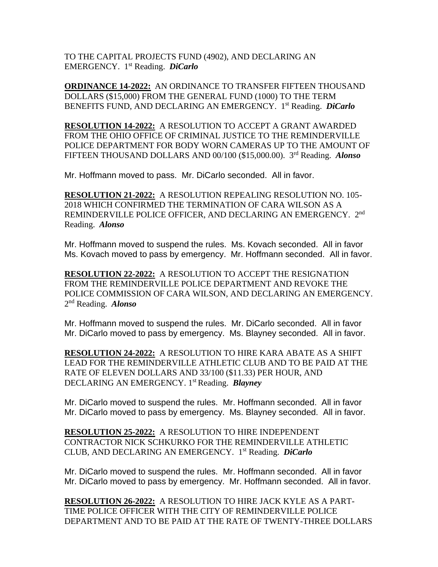TO THE CAPITAL PROJECTS FUND (4902), AND DECLARING AN EMERGENCY. 1 st Reading. *DiCarlo*

**ORDINANCE 14-2022:** AN ORDINANCE TO TRANSFER FIFTEEN THOUSAND DOLLARS (\$15,000) FROM THE GENERAL FUND (1000) TO THE TERM BENEFITS FUND, AND DECLARING AN EMERGENCY. 1 st Reading. *DiCarlo*

**RESOLUTION 14-2022:** A RESOLUTION TO ACCEPT A GRANT AWARDED FROM THE OHIO OFFICE OF CRIMINAL JUSTICE TO THE REMINDERVILLE POLICE DEPARTMENT FOR BODY WORN CAMERAS UP TO THE AMOUNT OF FIFTEEN THOUSAND DOLLARS AND 00/100 (\$15,000.00). 3 rd Reading. *Alonso*

Mr. Hoffmann moved to pass. Mr. DiCarlo seconded. All in favor.

**RESOLUTION 21-2022:** A RESOLUTION REPEALING RESOLUTION NO. 105- 2018 WHICH CONFIRMED THE TERMINATION OF CARA WILSON AS A REMINDERVILLE POLICE OFFICER, AND DECLARING AN EMERGENCY. 2<sup>nd</sup> Reading. *Alonso*

Mr. Hoffmann moved to suspend the rules. Ms. Kovach seconded. All in favor Ms. Kovach moved to pass by emergency. Mr. Hoffmann seconded. All in favor.

**RESOLUTION 22-2022:** A RESOLUTION TO ACCEPT THE RESIGNATION FROM THE REMINDERVILLE POLICE DEPARTMENT AND REVOKE THE POLICE COMMISSION OF CARA WILSON, AND DECLARING AN EMERGENCY. 2 nd Reading. *Alonso*

Mr. Hoffmann moved to suspend the rules. Mr. DiCarlo seconded. All in favor Mr. DiCarlo moved to pass by emergency. Ms. Blayney seconded. All in favor.

**RESOLUTION 24-2022:** A RESOLUTION TO HIRE KARA ABATE AS A SHIFT LEAD FOR THE REMINDERVILLE ATHLETIC CLUB AND TO BE PAID AT THE RATE OF ELEVEN DOLLARS AND 33/100 (\$11.33) PER HOUR, AND DECLARING AN EMERGENCY. 1 st Reading. *Blayney*

Mr. DiCarlo moved to suspend the rules. Mr. Hoffmann seconded. All in favor Mr. DiCarlo moved to pass by emergency. Ms. Blayney seconded. All in favor.

**RESOLUTION 25-2022:** A RESOLUTION TO HIRE INDEPENDENT CONTRACTOR NICK SCHKURKO FOR THE REMINDERVILLE ATHLETIC CLUB, AND DECLARING AN EMERGENCY. 1 st Reading. *DiCarlo*

Mr. DiCarlo moved to suspend the rules. Mr. Hoffmann seconded. All in favor Mr. DiCarlo moved to pass by emergency. Mr. Hoffmann seconded. All in favor.

**RESOLUTION 26-2022:** A RESOLUTION TO HIRE JACK KYLE AS A PART-TIME POLICE OFFICER WITH THE CITY OF REMINDERVILLE POLICE DEPARTMENT AND TO BE PAID AT THE RATE OF TWENTY-THREE DOLLARS